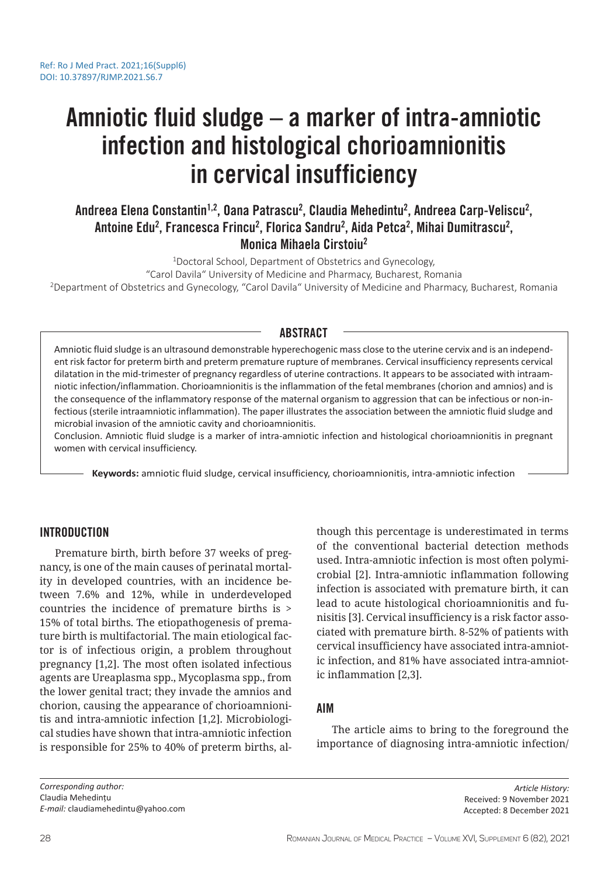# Amniotic fluid sludge – a marker of intra-amniotic infection and histological chorioamnionitis in cervical insufficiency

# Andreea Elena Constantin<sup>1,2</sup>, Oana Patrascu<sup>2</sup>, Claudia Mehedintu<sup>2</sup>, Andreea Carp-Veliscu<sup>2</sup>, Antoine Edu<sup>2</sup>, Francesca Frincu<sup>2</sup>, Florica Sandru<sup>2</sup>, Aida Petca<sup>2</sup>, Mihai Dumitrascu<sup>2</sup>, Monica Mihaela Cirstoiu<sup>2</sup>

<sup>1</sup>Doctoral School, Department of Obstetrics and Gynecology,

"Carol Davila" University of Medicine and Pharmacy, Bucharest, Romania <sup>2</sup>Department of Obstetrics and Gynecology, "Carol Davila" University of Medicine and Pharmacy, Bucharest, Romania

# ABSTRACT

Amniotic fluid sludge is an ultrasound demonstrable hyperechogenic mass close to the uterine cervix and is an independent risk factor for preterm birth and preterm premature rupture of membranes. Cervical insufficiency represents cervical dilatation in the mid-trimester of pregnancy regardless of uterine contractions. It appears to be associated with intraamniotic infection/inflammation. Chorioamnionitis is the inflammation of the fetal membranes (chorion and amnios) and is the consequence of the inflammatory response of the maternal organism to aggression that can be infectious or non-infectious (sterile intraamniotic inflammation). The paper illustrates the association between the amniotic fluid sludge and microbial invasion of the amniotic cavity and chorioamnionitis.

Conclusion. Amniotic fluid sludge is a marker of intra-amniotic infection and histological chorioamnionitis in pregnant women with cervical insufficiency.

**Keywords:** amniotic fluid sludge, cervical insufficiency, chorioamnionitis, intra-amniotic infection

# INTRODUCTION

Premature birth, birth before 37 weeks of pregnancy, is one of the main causes of perinatal mortality in developed countries, with an incidence between 7.6% and 12%, while in underdeveloped countries the incidence of premature births is > 15% of total births. The etiopathogenesis of premature birth is multifactorial. The main etiological factor is of infectious origin, a problem throughout pregnancy [1,2]. The most often isolated infectious agents are Ureaplasma spp., Mycoplasma spp., from the lower genital tract; they invade the amnios and chorion, causing the appearance of chorioamnionitis and intra-amniotic infection [1,2]. Microbiological studies have shown that intra-amniotic infection is responsible for 25% to 40% of preterm births, although this percentage is underestimated in terms of the conventional bacterial detection methods used. Intra-amniotic infection is most often polymicrobial [2]. Intra-amniotic inflammation following infection is associated with premature birth, it can lead to acute histological chorioamnionitis and funisitis [3]. Cervical insufficiency is a risk factor associated with premature birth. 8-52% of patients with cervical insufficiency have associated intra-amniotic infection, and 81% have associated intra-amniotic inflammation [2,3].

#### AIM

The article aims to bring to the foreground the importance of diagnosing intra-amniotic infection/

*Corresponding author:* Claudia Mehedințu *E-mail:* claudiamehedintu@yahoo.com

*Article History:* Received: 9 November 2021 Accepted: 8 December 2021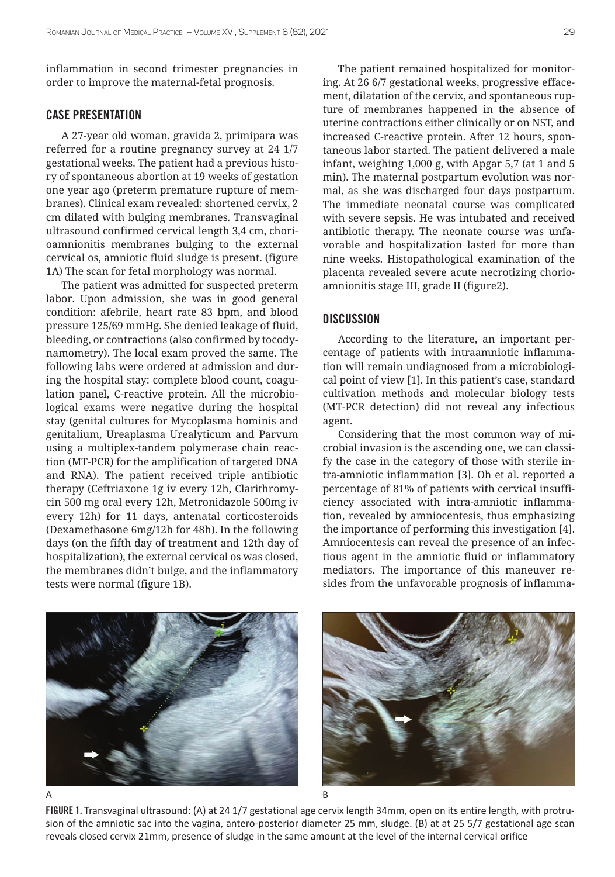inflammation in second trimester pregnancies in order to improve the maternal-fetal prognosis.

# CASE PRESENTATION

A 27-year old woman, gravida 2, primipara was referred for a routine pregnancy survey at 24 1/7 gestational weeks. The patient had a previous history of spontaneous abortion at 19 weeks of gestation one year ago (preterm premature rupture of membranes). Clinical exam revealed: shortened cervix, 2 cm dilated with bulging membranes. Transvaginal ultrasound confirmed cervical length 3,4 cm, chorioamnionitis membranes bulging to the external cervical os, amniotic fluid sludge is present. (figure 1A) The scan for fetal morphology was normal.

The patient was admitted for suspected preterm labor. Upon admission, she was in good general condition: afebrile, heart rate 83 bpm, and blood pressure 125/69 mmHg. She denied leakage of fluid, bleeding, or contractions (also confirmed by tocodynamometry). The local exam proved the same. The following labs were ordered at admission and during the hospital stay: complete blood count, coagulation panel, C-reactive protein. All the microbiological exams were negative during the hospital stay (genital cultures for Mycoplasma hominis and genitalium, Ureaplasma Urealyticum and Parvum using a multiplex-tandem polymerase chain reaction (MT-PCR) for the amplification of targeted DNA and RNA). The patient received triple antibiotic therapy (Ceftriaxone 1g iv every 12h, Clarithromycin 500 mg oral every 12h, Metronidazole 500mg iv every 12h) for 11 days, antenatal corticosteroids (Dexamethasone 6mg/12h for 48h). In the following days (on the fifth day of treatment and 12th day of hospitalization), the external cervical os was closed, the membranes didn't bulge, and the inflammatory tests were normal (figure 1B).

The patient remained hospitalized for monitoring. At 26 6/7 gestational weeks, progressive effacement, dilatation of the cervix, and spontaneous rupture of membranes happened in the absence of uterine contractions either clinically or on NST, and increased C-reactive protein. After 12 hours, spontaneous labor started. The patient delivered a male infant, weighing 1,000 g, with Apgar 5,7 (at 1 and 5 min). The maternal postpartum evolution was normal, as she was discharged four days postpartum. The immediate neonatal course was complicated with severe sepsis. He was intubated and received antibiotic therapy. The neonate course was unfavorable and hospitalization lasted for more than nine weeks. Histopathological examination of the placenta revealed severe acute necrotizing chorioamnionitis stage III, grade II (figure2).

#### **DISCUSSION**

According to the literature, an important percentage of patients with intraamniotic inflammation will remain undiagnosed from a microbiological point of view [1]. In this patient's case, standard cultivation methods and molecular biology tests (MT-PCR detection) did not reveal any infectious agent.

Considering that the most common way of microbial invasion is the ascending one, we can classify the case in the category of those with sterile intra-amniotic inflammation [3]. Oh et al. reported a percentage of 81% of patients with cervical insufficiency associated with intra-amniotic inflammation, revealed by amniocentesis, thus emphasizing the importance of performing this investigation [4]. Amniocentesis can reveal the presence of an infectious agent in the amniotic fluid or inflammatory mediators. The importance of this maneuver resides from the unfavorable prognosis of inflamma-

FIGURE 1. Transvaginal ultrasound: (A) at 24 1/7 gestational age cervix length 34mm, open on its entire length, with protrusion of the amniotic sac into the vagina, antero-posterior diameter 25 mm, sludge. (B) at at 25 5/7 gestational age scan reveals closed cervix 21mm, presence of sludge in the same amount at the level of the internal cervical orifice



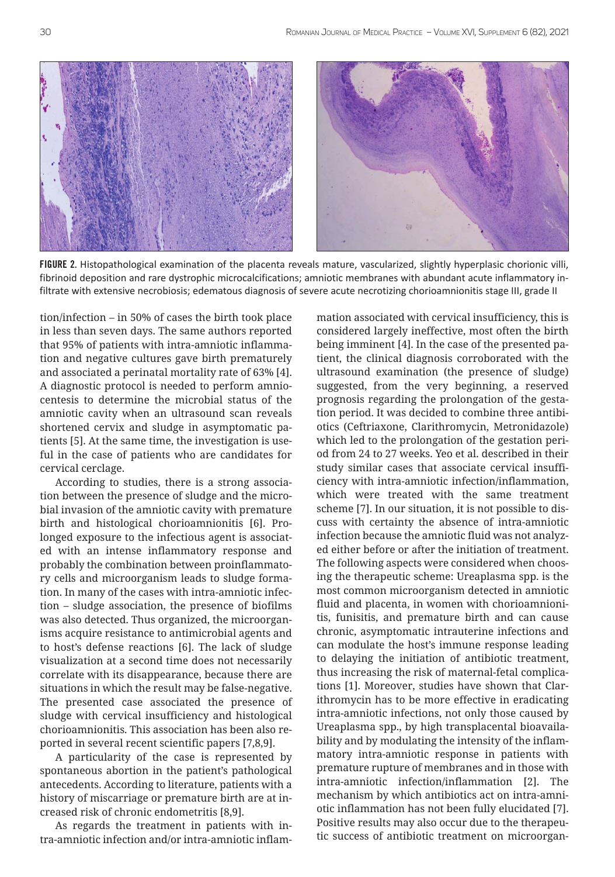

FIGURE 2. Histopathological examination of the placenta reveals mature, vascularized, slightly hyperplasic chorionic villi, fibrinoid deposition and rare dystrophic microcalcifications; amniotic membranes with abundant acute inflammatory infiltrate with extensive necrobiosis; edematous diagnosis of severe acute necrotizing chorioamnionitis stage III, grade II

tion/infection – in 50% of cases the birth took place in less than seven days. The same authors reported that 95% of patients with intra-amniotic inflammation and negative cultures gave birth prematurely and associated a perinatal mortality rate of 63% [4]. A diagnostic protocol is needed to perform amniocentesis to determine the microbial status of the amniotic cavity when an ultrasound scan reveals shortened cervix and sludge in asymptomatic patients [5]. At the same time, the investigation is useful in the case of patients who are candidates for cervical cerclage.

According to studies, there is a strong association between the presence of sludge and the microbial invasion of the amniotic cavity with premature birth and histological chorioamnionitis [6]. Prolonged exposure to the infectious agent is associated with an intense inflammatory response and probably the combination between proinflammatory cells and microorganism leads to sludge formation. In many of the cases with intra-amniotic infection – sludge association, the presence of biofilms was also detected. Thus organized, the microorganisms acquire resistance to antimicrobial agents and to host's defense reactions [6]. The lack of sludge visualization at a second time does not necessarily correlate with its disappearance, because there are situations in which the result may be false-negative. The presented case associated the presence of sludge with cervical insufficiency and histological chorioamnionitis. This association has been also reported in several recent scientific papers [7,8,9].

A particularity of the case is represented by spontaneous abortion in the patient's pathological antecedents. According to literature, patients with a history of miscarriage or premature birth are at increased risk of chronic endometritis [8,9].

As regards the treatment in patients with intra-amniotic infection and/or intra-amniotic inflammation associated with cervical insufficiency, this is considered largely ineffective, most often the birth being imminent [4]. In the case of the presented patient, the clinical diagnosis corroborated with the ultrasound examination (the presence of sludge) suggested, from the very beginning, a reserved prognosis regarding the prolongation of the gestation period. It was decided to combine three antibiotics (Ceftriaxone, Clarithromycin, Metronidazole) which led to the prolongation of the gestation period from 24 to 27 weeks. Yeo et al. described in their study similar cases that associate cervical insufficiency with intra-amniotic infection/inflammation, which were treated with the same treatment scheme [7]. In our situation, it is not possible to discuss with certainty the absence of intra-amniotic infection because the amniotic fluid was not analyzed either before or after the initiation of treatment. The following aspects were considered when choosing the therapeutic scheme: Ureaplasma spp. is the most common microorganism detected in amniotic fluid and placenta, in women with chorioamnionitis, funisitis, and premature birth and can cause chronic, asymptomatic intrauterine infections and can modulate the host's immune response leading to delaying the initiation of antibiotic treatment, thus increasing the risk of maternal-fetal complications [1]. Moreover, studies have shown that Clarithromycin has to be more effective in eradicating intra-amniotic infections, not only those caused by Ureaplasma spp., by high transplacental bioavailability and by modulating the intensity of the inflammatory intra-amniotic response in patients with premature rupture of membranes and in those with intra-amniotic infection/inflammation [2]. The mechanism by which antibiotics act on intra-amniotic inflammation has not been fully elucidated [7]. Positive results may also occur due to the therapeutic success of antibiotic treatment on microorgan